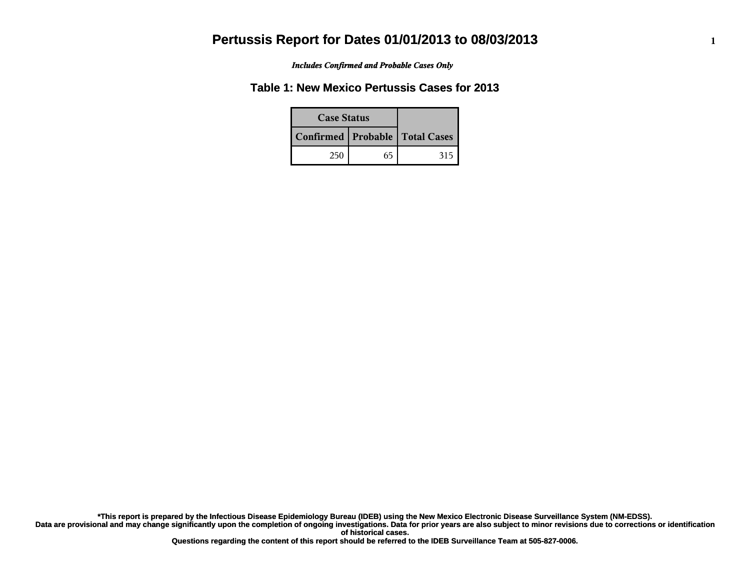*Includes Confirmed and Probable Cases Only*

### **Table 1: New Mexico Pertussis Cases for 2013**

| <b>Case Status</b> |    |                                    |
|--------------------|----|------------------------------------|
|                    |    | Confirmed   Probable   Total Cases |
| 250                | 65 | 315                                |

**Data are provisional and may change significantly upon the completion of ongoing investigations. Data for prior years are also subject to minor revisions due to corrections or identification of historical cases. \*This report is prepared by the Infectious Disease Epidemiology Bureau (IDEB) using the New Mexico Electronic Disease Surveillance System (NM-EDSS).**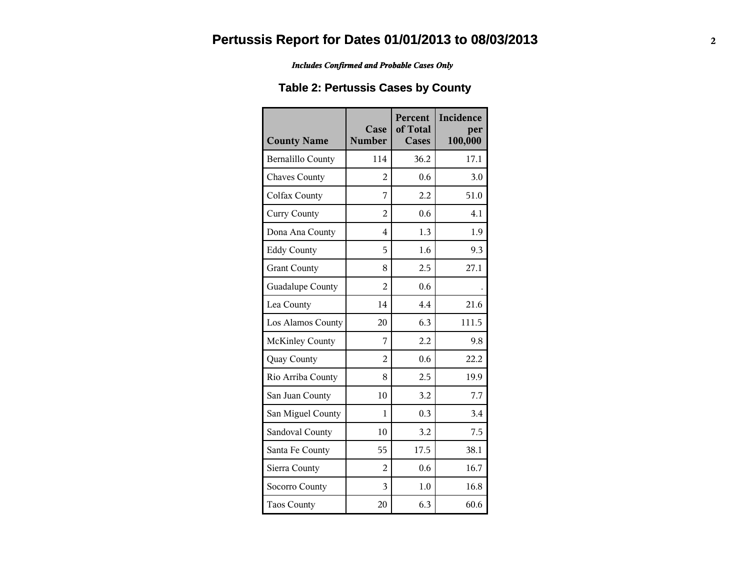*Includes Confirmed and Probable Cases Only*

### **Table 2: Pertussis Cases by County**

| <b>County Name</b>       | Case<br><b>Number</b> | Percent<br>of Total<br><b>Cases</b> | Incidence<br>per<br>100,000 |
|--------------------------|-----------------------|-------------------------------------|-----------------------------|
| <b>Bernalillo County</b> | 114                   | 36.2                                | 17.1                        |
| <b>Chaves County</b>     | 2                     | 0.6                                 | 3.0                         |
| Colfax County            | 7                     | 2.2                                 | 51.0                        |
| <b>Curry County</b>      | $\overline{2}$        | 0.6                                 | 4.1                         |
| Dona Ana County          | 4                     | 1.3                                 | 1.9                         |
| <b>Eddy County</b>       | 5                     | 1.6                                 | 9.3                         |
| <b>Grant County</b>      | 8                     | 2.5                                 | 27.1                        |
| Guadalupe County         | 2                     | 0.6                                 |                             |
| Lea County               | 14                    | 4.4                                 | 21.6                        |
| Los Alamos County        | 20                    | 6.3                                 | 111.5                       |
| <b>McKinley County</b>   | 7                     | 2.2                                 | 9.8                         |
| Quay County              | $\overline{2}$        | 0.6                                 | 22.2                        |
| Rio Arriba County        | 8                     | 2.5                                 | 19.9                        |
| San Juan County          | 10                    | 3.2                                 | 7.7                         |
| San Miguel County        | 1                     | 0.3                                 | 3.4                         |
| Sandoval County          | 10                    | 3.2                                 | 7.5                         |
| Santa Fe County          | 55                    | 17.5                                | 38.1                        |
| Sierra County            | $\overline{2}$        | 0.6                                 | 16.7                        |
| Socorro County           | $\overline{3}$        | 1.0                                 | 16.8                        |
| <b>Taos County</b>       | 20                    | 6.3                                 | 60.6                        |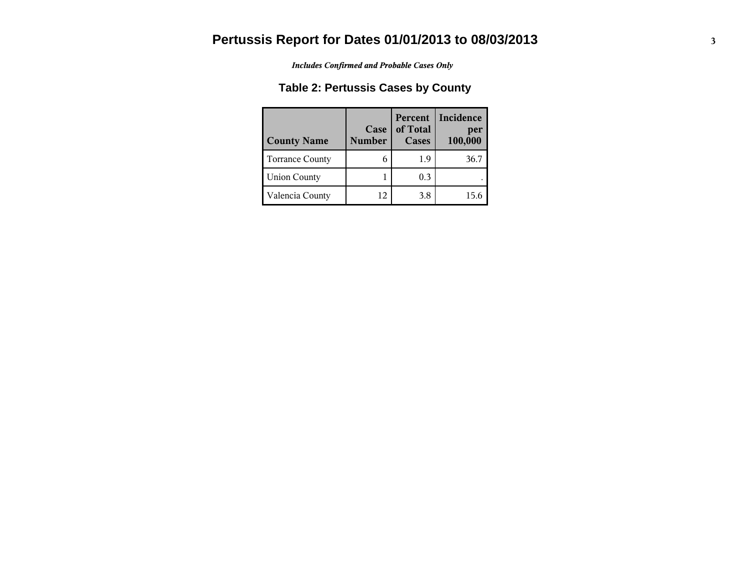*Includes Confirmed and Probable Cases Only*

### **Table 2: Pertussis Cases by County**

| <b>County Name</b>     | Case<br><b>Number</b> | Percent<br>of Total<br>Cases | Incidence<br>per<br>100,000 |
|------------------------|-----------------------|------------------------------|-----------------------------|
| <b>Torrance County</b> |                       | 1.9                          | 36.7                        |
| <b>Union County</b>    |                       | 0.3                          |                             |
| Valencia County        | 12                    | 3.8                          | 15 6                        |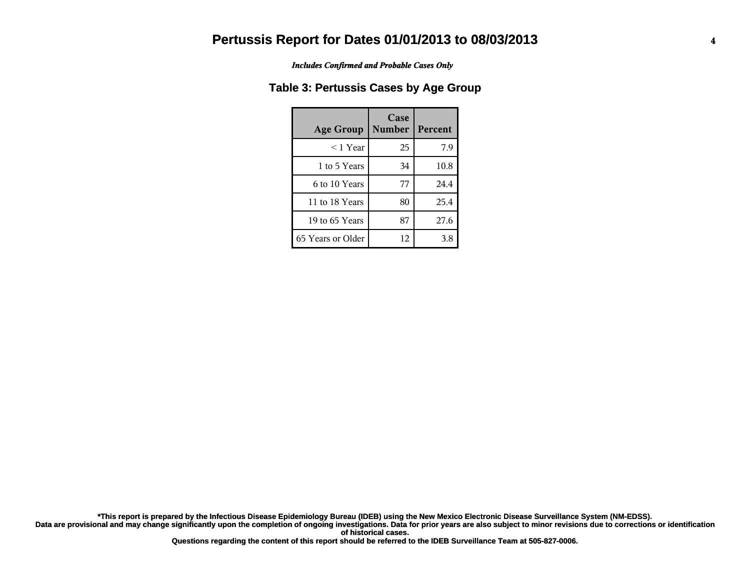*Includes Confirmed and Probable Cases Only*

#### **Table 3: Pertussis Cases by Age Group**

| <b>Age Group</b>  | Case<br><b>Number</b> | <b>Percent</b> |
|-------------------|-----------------------|----------------|
| $<$ 1 Year        | 25                    | 7.9            |
| 1 to 5 Years      | 34                    | 10.8           |
| 6 to 10 Years     | 77                    | 24.4           |
| 11 to 18 Years    | 80                    | 25.4           |
| 19 to 65 Years    | 87                    | 27.6           |
| 65 Years or Older | 12                    | 3.8            |

**Data are provisional and may change significantly upon the completion of ongoing investigations. Data for prior years are also subject to minor revisions due to corrections or identification of historical cases. \*This report is prepared by the Infectious Disease Epidemiology Bureau (IDEB) using the New Mexico Electronic Disease Surveillance System (NM-EDSS).**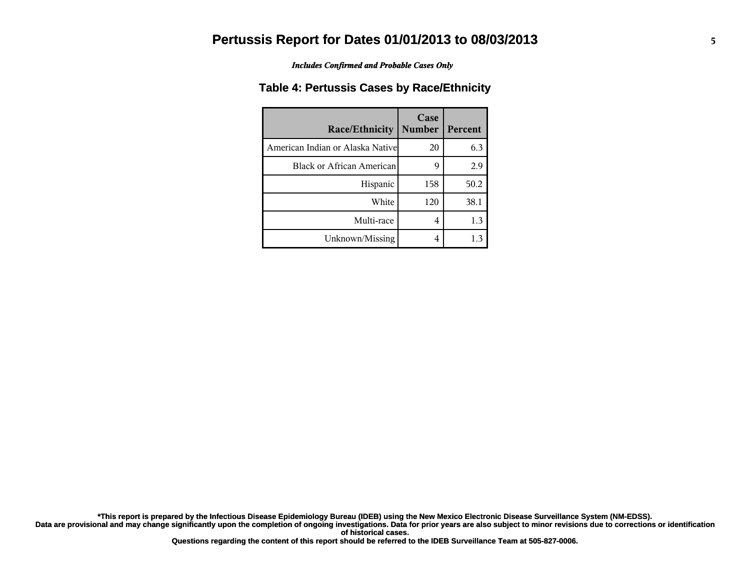*Includes Confirmed and Probable Cases Only*

#### **Table 4: Pertussis Cases by Race/Ethnicity**

| <b>Race/Ethnicity</b>             | Case<br><b>Number</b> | Percent |
|-----------------------------------|-----------------------|---------|
| American Indian or Alaska Nativel | 20                    | 6.3     |
| Black or African American         | 9                     | 2.9     |
| Hispanic                          | 158                   | 50.2    |
| White                             | 120                   | 38.1    |
| Multi-race                        | 4                     | 1.3     |
| Unknown/Missing                   | 4                     |         |

**Data are provisional and may change significantly upon the completion of ongoing investigations. Data for prior years are also subject to minor revisions due to corrections or identification of historical cases. \*This report is prepared by the Infectious Disease Epidemiology Bureau (IDEB) using the New Mexico Electronic Disease Surveillance System (NM-EDSS).**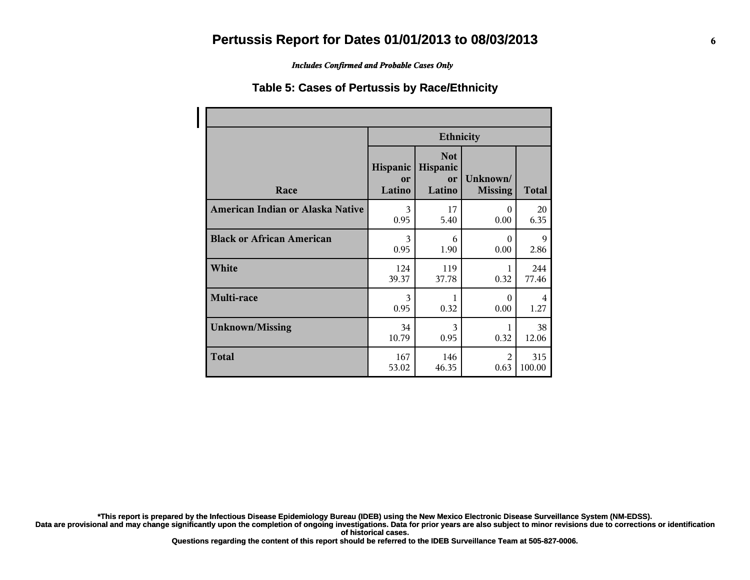*Includes Confirmed and Probable Cases Only*

#### **Table 5: Cases of Pertussis by Race/Ethnicity**

|                                  | <b>Ethnicity</b>         |                                        |                            |              |
|----------------------------------|--------------------------|----------------------------------------|----------------------------|--------------|
| Race                             | Hispanic<br>or<br>Latino | <b>Not</b><br>Hispanic<br>or<br>Latino | Unknown/<br><b>Missing</b> | <b>Total</b> |
| American Indian or Alaska Native | 3                        | 17                                     | $\Omega$                   | 20           |
|                                  | 0.95                     | 5.40                                   | 0.00                       | 6.35         |
| <b>Black or African American</b> | 3                        | 6                                      | $\Omega$                   | 9            |
|                                  | 0.95                     | 1.90                                   | 0.00                       | 2.86         |
| White                            | 124                      | 119                                    | 1                          | 244          |
|                                  | 39.37                    | 37.78                                  | 0.32                       | 77.46        |
| Multi-race                       | 3<br>0.95                | 0.32                                   | $\Omega$<br>0.00           | 4<br>1.27    |
| <b>Unknown/Missing</b>           | 34                       | 3                                      | 1                          | 38           |
|                                  | 10.79                    | 0.95                                   | 0.32                       | 12.06        |
| <b>Total</b>                     | 167                      | 146                                    | $\mathfrak{D}$             | 315          |
|                                  | 53.02                    | 46.35                                  | 0.63                       | 100.00       |

**\*This report is prepared by the Infectious Disease Epidemiology Bureau (IDEB) using the New Mexico Electronic Disease Surveillance System (NM-EDSS).**

**Data are provisional and may change significantly upon the completion of ongoing investigations. Data for prior years are also subject to minor revisions due to corrections or identification of historical cases.**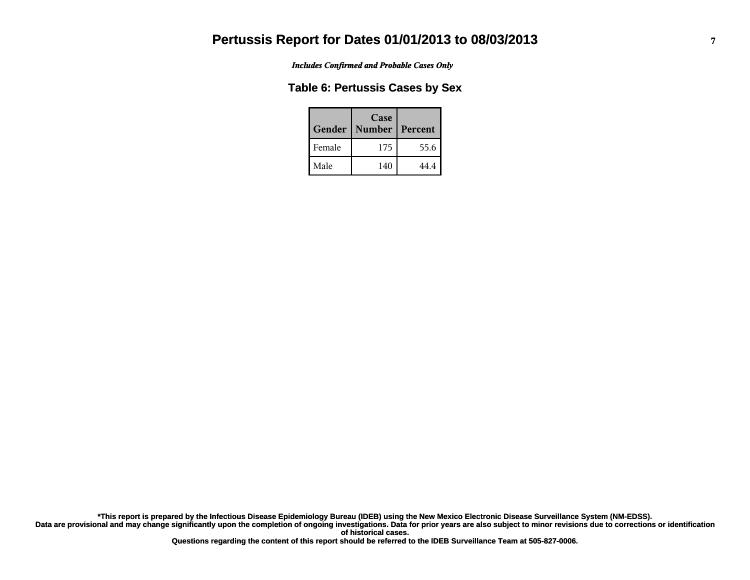*Includes Confirmed and Probable Cases Only*

#### **Table 6: Pertussis Cases by Sex**

| Gender | Case<br><b>Number</b> | Percent |
|--------|-----------------------|---------|
| Female | 175                   | 55.6    |
| Male   | 140                   | 44.4    |

**Data are provisional and may change significantly upon the completion of ongoing investigations. Data for prior years are also subject to minor revisions due to corrections or identification of historical cases. \*This report is prepared by the Infectious Disease Epidemiology Bureau (IDEB) using the New Mexico Electronic Disease Surveillance System (NM-EDSS).**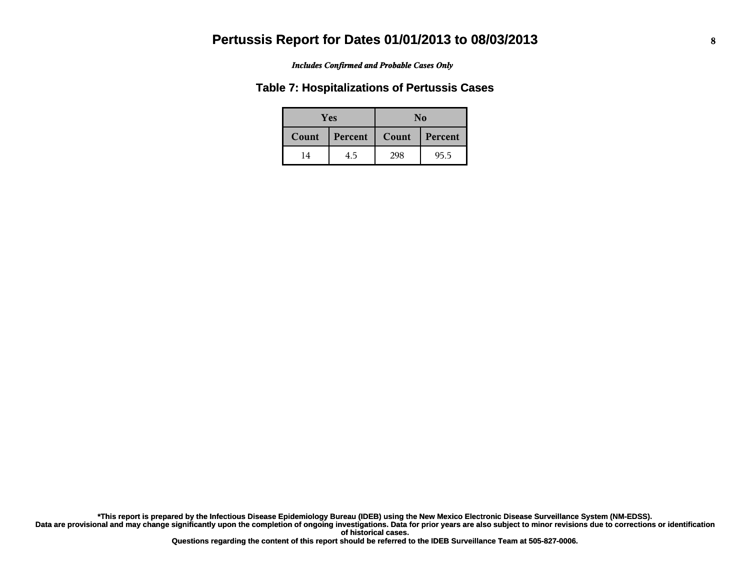#### *Includes Confirmed and Probable Cases Only*

#### **Table 7: Hospitalizations of Pertussis Cases**

| <b>Yes</b> |         | No    |         |
|------------|---------|-------|---------|
| Count      | Percent | Count | Percent |
| 14         | 4.5     | 298   | 95.5    |

**Data are provisional and may change significantly upon the completion of ongoing investigations. Data for prior years are also subject to minor revisions due to corrections or identification of historical cases. \*This report is prepared by the Infectious Disease Epidemiology Bureau (IDEB) using the New Mexico Electronic Disease Surveillance System (NM-EDSS).**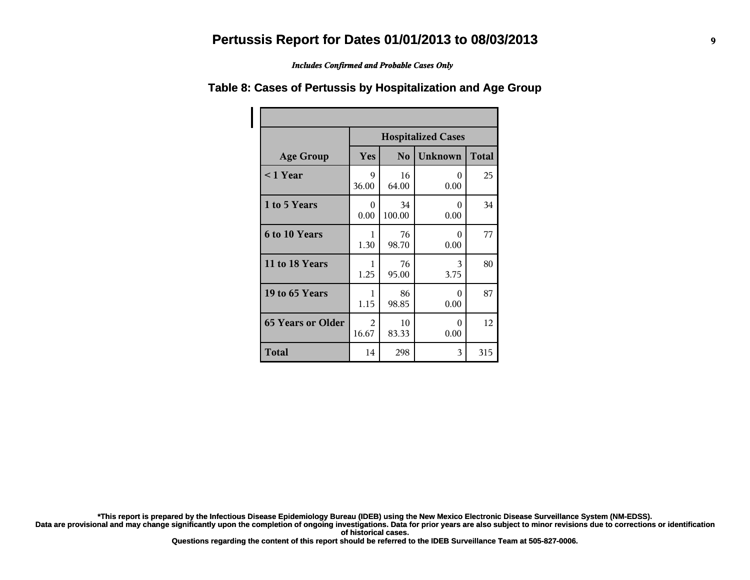*Includes Confirmed and Probable Cases Only*

|                          | <b>Hospitalized Cases</b> |                |                  |              |  |
|--------------------------|---------------------------|----------------|------------------|--------------|--|
| <b>Age Group</b>         | Yes                       | N <sub>o</sub> | <b>Unknown</b>   | <b>Total</b> |  |
| $< 1$ Year               | 9<br>36.00                | 16<br>64.00    | 0<br>0.00        | 25           |  |
| 1 to 5 Years             | 0<br>0.00                 | 34<br>100.00   | 0<br>0.00        | 34           |  |
| <b>6 to 10 Years</b>     | 1<br>1.30                 | 76<br>98.70    | 0<br>0.00        | 77           |  |
| 11 to 18 Years           | 1<br>1.25                 | 76<br>95.00    | 3<br>3.75        | 80           |  |
| 19 to 65 Years           | 1<br>1.15                 | 86<br>98.85    | $\Omega$<br>0.00 | 87           |  |
| <b>65 Years or Older</b> | 2<br>16.67                | 10<br>83.33    | $\Omega$<br>0.00 | 12           |  |
| <b>Total</b>             | 14                        | 298            | 3                | 315          |  |

#### **Table 8: Cases of Pertussis by Hospitalization and Age Group**

**\*This report is prepared by the Infectious Disease Epidemiology Bureau (IDEB) using the New Mexico Electronic Disease Surveillance System (NM-EDSS).**

**Data are provisional and may change significantly upon the completion of ongoing investigations. Data for prior years are also subject to minor revisions due to corrections or identification of historical cases.**